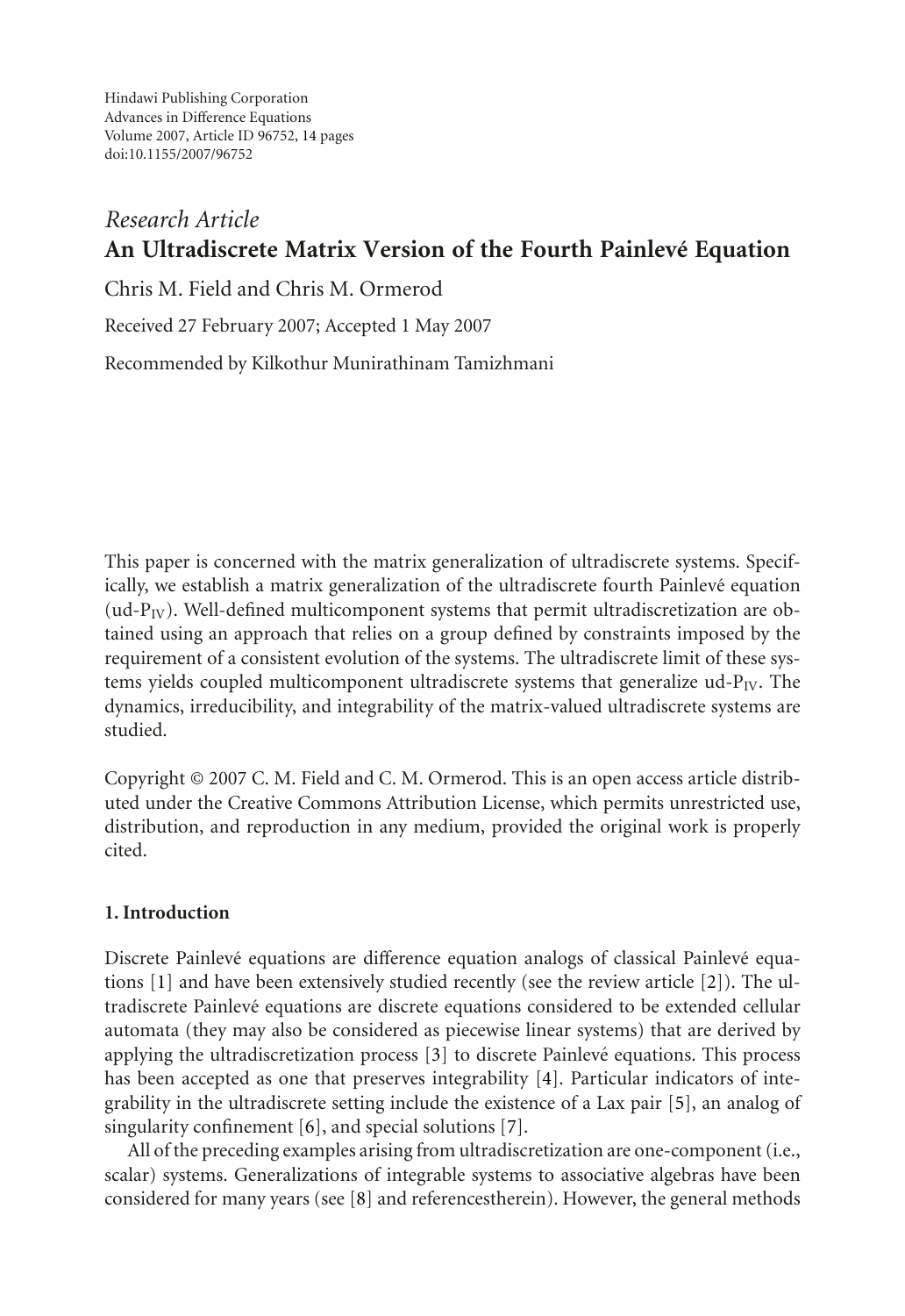Hindawi Publishing Corporation Advances in Difference Equations Volume 2007, Article ID 96752, [14](#page-12-0) pages doi:10.1155/2007/96752

# *Research Article* **An Ultradiscrete Matrix Version of the Fourth Painlevé Equation**

Chris M. Field and Chris M. Ormerod

Received 27 February 2007; Accepted 1 May 2007

Recommended by Kilkothur Munirathinam Tamizhmani

This paper is concerned with the matrix generalization of ultradiscrete systems. Specifically, we establish a matrix generalization of the ultradiscrete fourth Painlevé equation (ud- $P_{IV}$ ). Well-defined multicomponent systems that permit ultradiscretization are obtained using an approach that relies on a group defined by constraints imposed by the requirement of a consistent evolution of the systems. The ultradiscrete limit of these systems yields coupled multicomponent ultradiscrete systems that generalize  $ud-P<sub>IV</sub>$ . The dynamics, irreducibility, and integrability of the matrix-valued ultradiscrete systems are studied.

Copyright © 2007 C. M. Field and C. M. Ormerod. This is an open access article distributed under the Creative Commons Attribution License, which permits unrestricted use, distribution, and reproduction in any medium, provided the original work is properly cited.

## **1. Introduction**

Discrete Painlevé equations are difference equation analogs of classical Painlevé equations [\[1\]](#page-12-1) and have been extensively studied recently (see the review article [\[2\]](#page-12-2)). The ultradiscrete Painleve equations are discrete equations considered to be extended cellular ´ automata (they may also be considered as piecewise linear systems) that are derived by applying the ultradiscretization process [\[3](#page-12-3)] to discrete Painlevé equations. This process has been accepted as one that preserves integrability [\[4](#page-12-4)]. Particular indicators of integrability in the ultradiscrete setting include the existence of a Lax pair [\[5\]](#page-12-5), an analog of singularity confinement [\[6\]](#page-12-6), and special solutions [\[7](#page-12-7)].

All of the preceding examples arising from ultradiscretization are one-component (i.e., scalar) systems. Generalizations of integrable systems to associative algebras have been considered for many years (see [\[8](#page-12-8)] and referencestherein). However, the general methods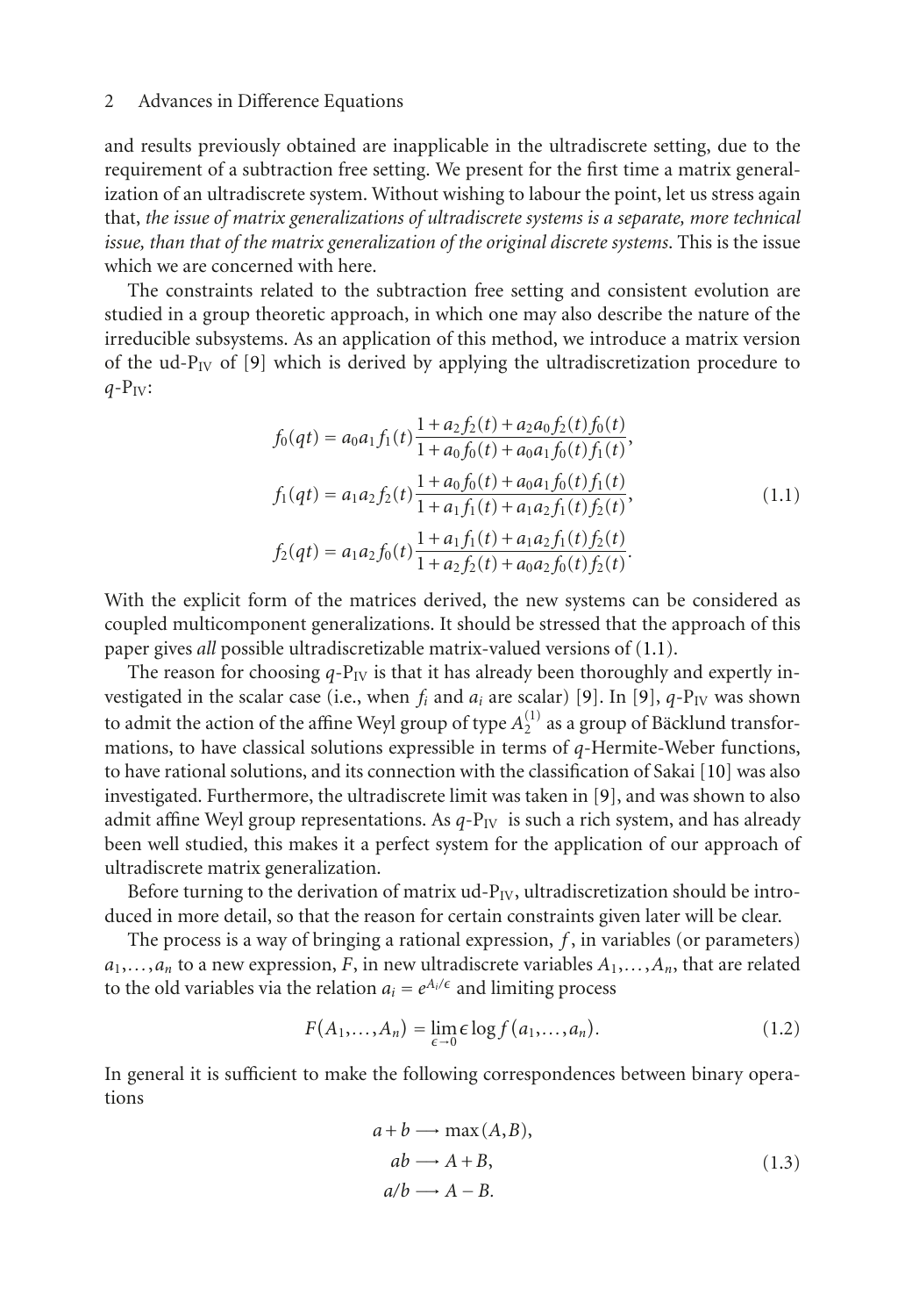and results previously obtained are inapplicable in the ultradiscrete setting, due to the requirement of a subtraction free setting. We present for the first time a matrix generalization of an ultradiscrete system. Without wishing to labour the point, let us stress again that, *the issue of matrix generalizations of ultradiscrete systems is a separate, more technical issue, than that of the matrix generalization of the original discrete systems*. This is the issue which we are concerned with here.

The constraints related to the subtraction free setting and consistent evolution are studied in a group theoretic approach, in which one may also describe the nature of the irreducible subsystems. As an application of this method, we introduce a matrix version of the ud- $P_{IV}$  of [\[9](#page-12-9)] which is derived by applying the ultradiscretization procedure to  $q-P_{IV}$ :

<span id="page-1-0"></span>
$$
f_0(qt) = a_0a_1f_1(t)\frac{1 + a_2f_2(t) + a_2a_0f_2(t)f_0(t)}{1 + a_0f_0(t) + a_0a_1f_0(t)f_1(t)},
$$
  
\n
$$
f_1(qt) = a_1a_2f_2(t)\frac{1 + a_0f_0(t) + a_0a_1f_0(t)f_1(t)}{1 + a_1f_1(t) + a_1a_2f_1(t)f_2(t)},
$$
  
\n
$$
f_2(qt) = a_1a_2f_0(t)\frac{1 + a_1f_1(t) + a_1a_2f_1(t)f_2(t)}{1 + a_2f_2(t) + a_0a_2f_0(t)f_2(t)}.
$$
\n(1.1)

With the explicit form of the matrices derived, the new systems can be considered as coupled multicomponent generalizations. It should be stressed that the approach of this paper gives *all* possible ultradiscretizable matrix-valued versions of [\(1.1\)](#page-1-0).

The reason for choosing  $q-P_{IV}$  is that it has already been thoroughly and expertly investigated in the scalar case (i.e., when  $f_i$  and  $a_i$  are scalar) [\[9](#page-12-9)]. In [9],  $q$ -P<sub>IV</sub> was shown to admit the action of the affine Weyl group of type  $A_2^{(1)}$  as a group of Bäcklund transfor-<br>mations, to have classical solutions expressible in terms of *a*-Hermite-Weber functions mations, to have classical solutions expressible in terms of *q*-Hermite-Weber functions, to have rational solutions, and its connection with the classification of Sakai [\[10](#page-12-10)] was also investigated. Furthermore, the ultradiscrete limit was taken in [\[9](#page-12-9)], and was shown to also admit affine Weyl group representations. As  $q$ - $P_{IV}$  is such a rich system, and has already been well studied, this makes it a perfect system for the application of our approach of ultradiscrete matrix generalization.

Before turning to the derivation of matrix  $ud-P<sub>IV</sub>$ , ultradiscretization should be introduced in more detail, so that the reason for certain constraints given later will be clear.

The process is a way of bringing a rational expression, *f* , in variables (or parameters)  $a_1, \ldots, a_n$  to a new expression, *F*, in new ultradiscrete variables  $A_1, \ldots, A_n$ , that are related to the old variables via the relation  $a_i = e^{A_i/\epsilon}$  and limiting process

$$
F(A_1,...,A_n) = \lim_{\epsilon \to 0} \epsilon \log f(a_1,...,a_n). \tag{1.2}
$$

In general it is sufficient to make the following correspondences between binary operations

<span id="page-1-1"></span>
$$
a+b \longrightarrow \max(A,B),
$$
  
\n
$$
ab \longrightarrow A+B,
$$
  
\n
$$
a/b \longrightarrow A-B.
$$
\n(1.3)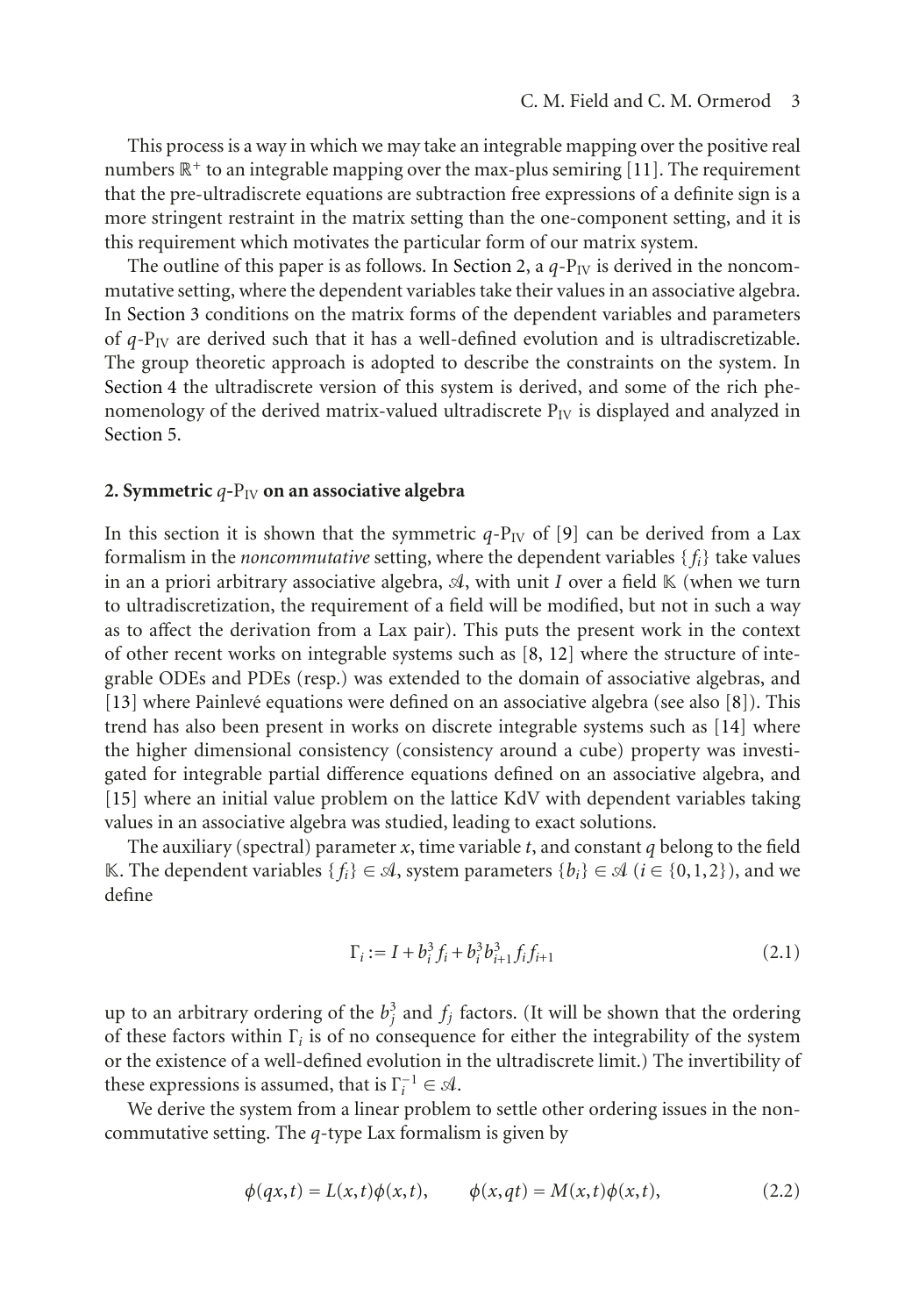This process is a way in which we may take an integrable mapping over the positive real numbers  $\mathbb{R}^+$  to an integrable mapping over the max-plus semiring [\[11](#page-13-0)]. The requirement that the pre-ultradiscrete equations are subtraction free expressions of a definite sign is a more stringent restraint in the matrix setting than the one-component setting, and it is this requirement which motivates the particular form of our matrix system.

The outline of this paper is as follows. In [Section 2,](#page-2-0) a  $q-P_{IV}$  is derived in the noncommutative setting, where the dependent variables take their values in an associative algebra. In [Section 3](#page-4-0) conditions on the matrix forms of the dependent variables and parameters of *<sup>q</sup>*-PIV are derived such that it has a well-defined evolution and is ultradiscretizable. The group theoretic approach is adopted to describe the constraints on the system. In [Section 4](#page-5-0) the ultradiscrete version of this system is derived, and some of the rich phenomenology of the derived matrix-valued ultradiscrete  $P_{IV}$  is displayed and analyzed in [Section 5.](#page-7-0)

#### <span id="page-2-0"></span>2. Symmetric  $q$ - $P_{IV}$  on an associative algebra

In this section it is shown that the symmetric  $q$ -P<sub>IV</sub> of [\[9\]](#page-12-9) can be derived from a Lax formalism in the *noncommutative* setting, where the dependent variables { *fi*} take values in an a priori arbitrary associative algebra,  $\mathcal{A}$ , with unit *I* over a field K (when we turn<br>to ultradiscretization, the requirement of a field will be modified, but not in such a way to ultradiscretization, the requirement of a field will be modified, but not in such a way as to affect the derivation from a Lax pair). This puts the present work in the context of other recent works on integrable systems such as [\[8](#page-12-8), [12](#page-13-1)] where the structure of integrable ODEs and PDEs (resp.) was extended to the domain of associative algebras, and  $[13]$  where Painlevé equations were defined on an associative algebra (see also  $[8]$  $[8]$  $[8]$ ). This trend has also been present in works on discrete integrable systems such as [\[14\]](#page-13-3) where the higher dimensional consistency (consistency around a cube) property was investigated for integrable partial difference equations defined on an associative algebra, and [\[15\]](#page-13-4) where an initial value problem on the lattice KdV with dependent variables taking values in an associative algebra was studied, leading to exact solutions.

The auxiliary (spectral) parameter  $x$ , time variable  $t$ , and constant  $q$  belong to the field K. The dependent variables {*f<sub>i</sub>*} ∈  $\mathcal{A}$ , system parameters {*b<sub>i</sub>*} ∈  $\mathcal{A}$  (*i* ∈ {0,1,2}), and we define define

<span id="page-2-1"></span>
$$
\Gamma_i := I + b_i^3 f_i + b_i^3 b_{i+1}^3 f_i f_{i+1}
$$
\n(2.1)

up to an arbitrary ordering of the  $b_j^3$  and  $f_j$  factors. (It will be shown that the ordering<br>of these factors within  $\Gamma$ , is of no consequence for either the integrability of the system of these factors within <sup>Γ</sup>*i* is of no consequence for either the integrability of the system or the existence of a well-defined evolution in the ultradiscrete limit.) The invertibility of these expressions is assumed, that is  $\Gamma_l^{-1} \in \mathcal{A}$ .<br>*We derive the system from a linear problem* 

We derive the system from a linear problem to settle other ordering issues in the noncommutative setting. The *q*-type Lax formalism is given by

$$
\phi(qx,t) = L(x,t)\phi(x,t), \qquad \phi(x,qt) = M(x,t)\phi(x,t), \tag{2.2}
$$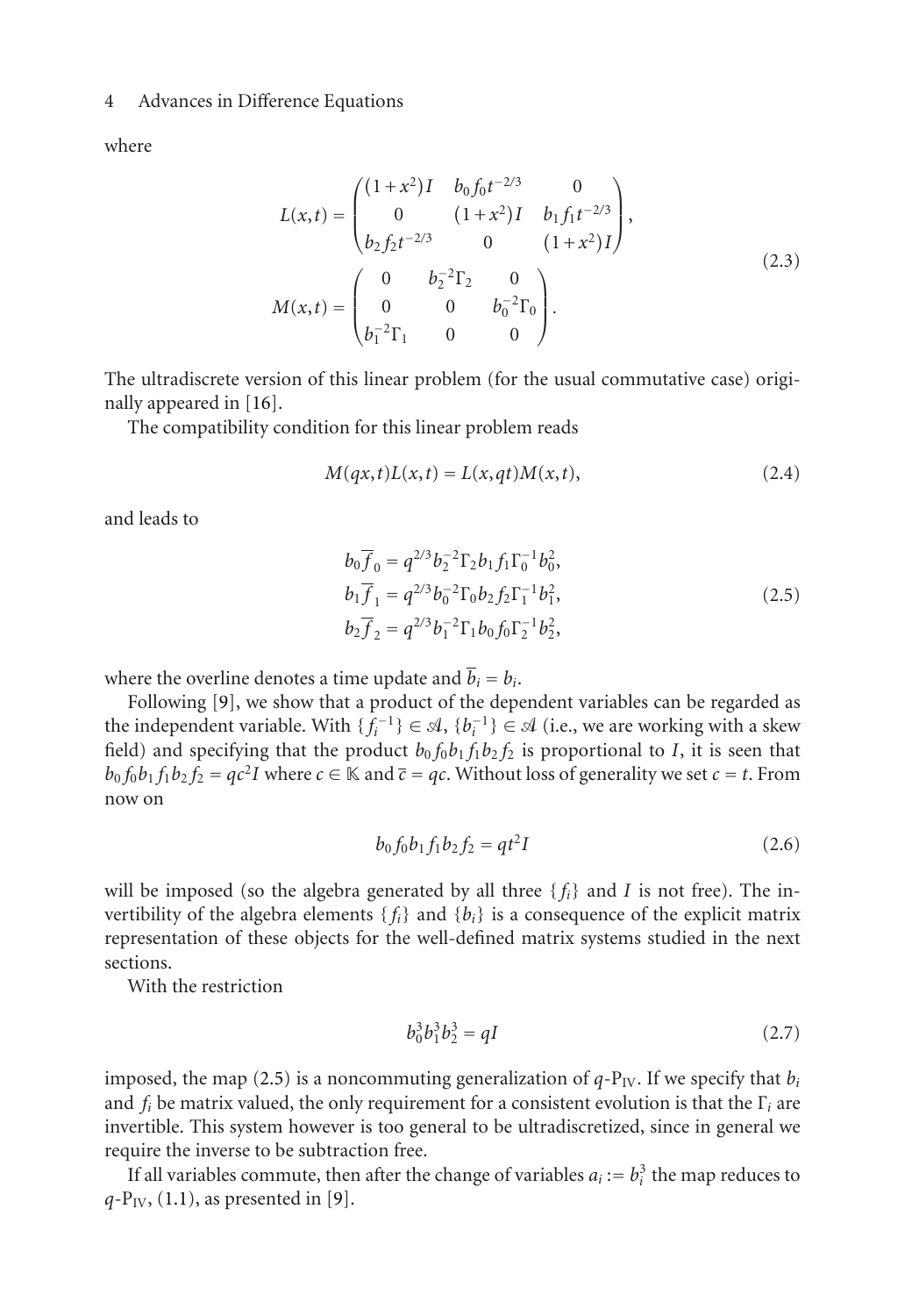where

$$
L(x,t) = \begin{pmatrix} (1+x^2)I & b_0f_0t^{-2/3} & 0\\ 0 & (1+x^2)I & b_1f_1t^{-2/3} \\ b_2f_2t^{-2/3} & 0 & (1+x^2)I \end{pmatrix},
$$
  
\n
$$
M(x,t) = \begin{pmatrix} 0 & b_2^{-2}\Gamma_2 & 0\\ 0 & 0 & b_0^{-2}\Gamma_0 \\ b_1^{-2}\Gamma_1 & 0 & 0 \end{pmatrix}.
$$
\n(2.3)

The ultradiscrete version of this linear problem (for the usual commutative case) originally appeared in [\[16](#page-13-5)].

The compatibility condition for this linear problem reads

$$
M(qx, t)L(x, t) = L(x, qt)M(x, t),
$$
\n(2.4)

and leads to

<span id="page-3-0"></span>
$$
b_0 \overline{f}_0 = q^{2/3} b_2^{-2} \Gamma_2 b_1 f_1 \Gamma_0^{-1} b_0^2,
$$
  
\n
$$
b_1 \overline{f}_1 = q^{2/3} b_0^{-2} \Gamma_0 b_2 f_2 \Gamma_1^{-1} b_1^2,
$$
  
\n
$$
b_2 \overline{f}_2 = q^{2/3} b_1^{-2} \Gamma_1 b_0 f_0 \Gamma_2^{-1} b_2^2,
$$
\n(2.5)

where the overline denotes a time update and  $\overline{b}_i = b_i$ .

Following [\[9](#page-12-9)], we show that a product of the dependent variables can be regarded as the independent variable. With  $\{f_i^{-1}\} \in \mathcal{A}, \{b_i^{-1}\} \in \mathcal{A}$  (i.e., we are working with a skew<br>field) and specifying that the product  $h_0 f_0 h_1 f_1 h_2 f_2$  is proportional to *L* it is seen that field) and specifying that the product  $b_0 f_0 b_1 f_1 b_2 f_2$  is proportional to *I*, it is seen that  $b_0 f_0 b_1 f_1 b_2 f_2 = qc^2 I$  where  $c \in \mathbb{K}$  and  $\overline{c} = qc$ . Without loss of generality we set  $c = t$ . From now on

<span id="page-3-1"></span>
$$
b_0 f_0 b_1 f_1 b_2 f_2 = q t^2 I \tag{2.6}
$$

will be imposed (so the algebra generated by all three  $\{f_i\}$  and *I* is not free). The invertibility of the algebra elements  $\{f_i\}$  and  $\{b_i\}$  is a consequence of the explicit matrix representation of these objects for the well-defined matrix systems studied in the next sections.

With the restriction

<span id="page-3-2"></span>
$$
b_0^3 b_1^3 b_2^3 = qI \tag{2.7}
$$

imposed, the map [\(2.5\)](#page-3-0) is a noncommuting generalization of  $q$ - $P_{IV}$ . If we specify that  $b_i$ and *fi* be matrix valued, the only requirement for a consistent evolution is that the <sup>Γ</sup>*i* are invertible. This system however is too general to be ultradiscretized, since in general we require the inverse to be subtraction free.

If all variables commute, then after the change of variables  $a_i := b_i^3$  the map reduces to  $b_i$ . (1.1) as presented in [9]  $q-P_{\text{IV}}$ , [\(1.1\)](#page-1-0), as presented in [\[9](#page-12-9)].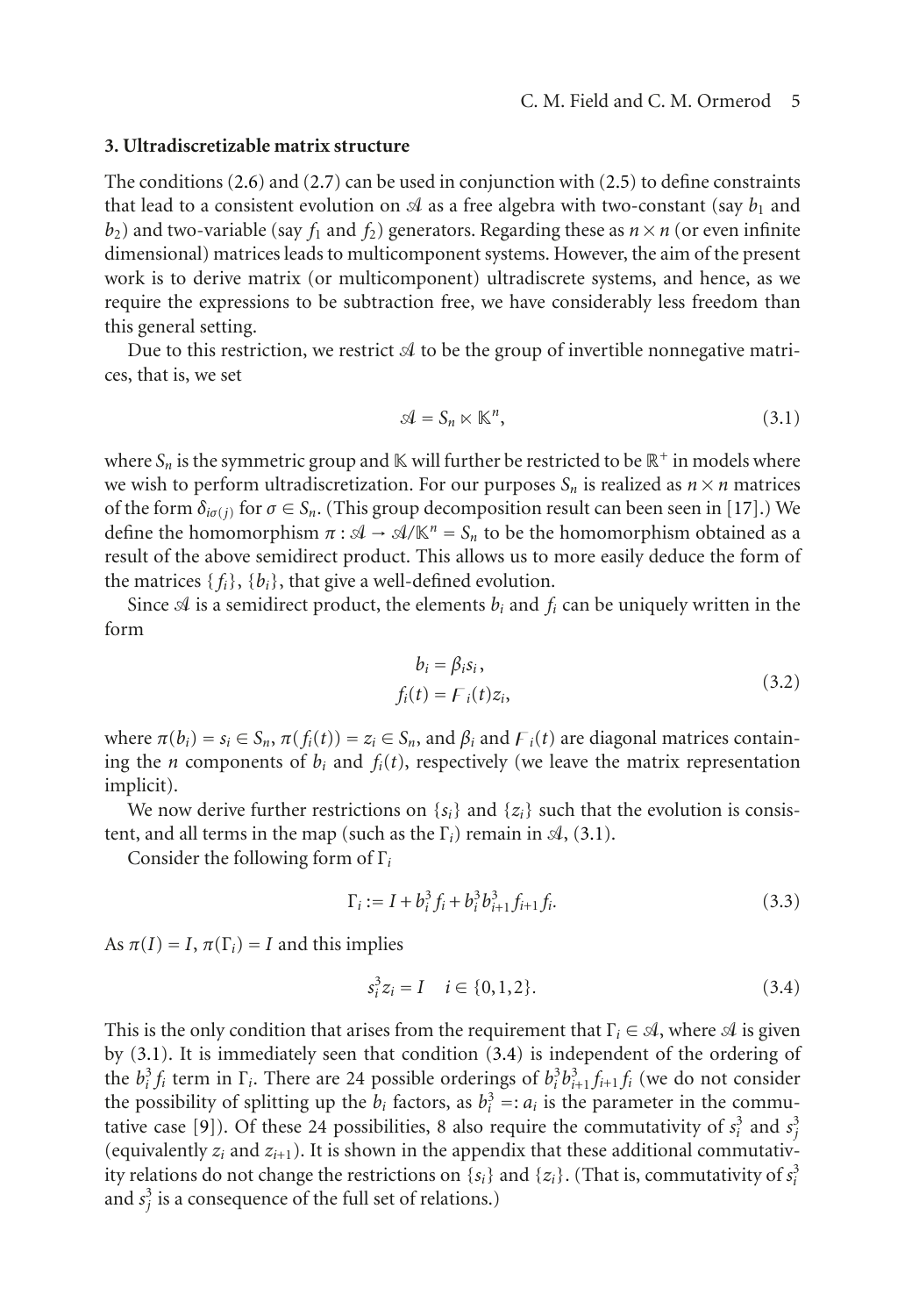## <span id="page-4-0"></span>**3. Ultradiscretizable matrix structure**

The conditions [\(2.6\)](#page-3-1) and [\(2.7\)](#page-3-2) can be used in conjunction with [\(2.5\)](#page-3-0) to define constraints that lead to a consistent evolution on  $\mathcal A$  as a free algebra with two-constant (say  $b_1$  and  $b_2$ ) and two-variable (say *f*, and *f*,) generators. Regarding these as  $n \times n$  (or even infinite  $b_2$ ) and two-variable (say  $f_1$  and  $f_2$ ) generators. Regarding these as  $n \times n$  (or even infinite dimensional) matrices leads to multicomponent systems. However, the aim of the present work is to derive matrix (or multicomponent) ultradiscrete systems, and hence, as we require the expressions to be subtraction free, we have considerably less freedom than this general setting.

Due to this restriction, we restrict  ${\mathcal{A}}$  to be the group of invertible nonnegative matrices, that is, we set

<span id="page-4-1"></span>
$$
\mathcal{A} = \mathcal{S}_n \ltimes \mathbb{K}^n,\tag{3.1}
$$

where  $S_n$  is the symmetric group and  $\mathbb K$  will further be restricted to be  $\mathbb R^+$  in models where we wish to perform ultradiscretization. For our purposes  $S_n$  is realized as  $n \times n$  matrices of the form  $\delta_{i\sigma(j)}$  for  $\sigma \in S_n$ . (This group decomposition result can been seen in [\[17](#page-13-6)].) We define the homomorphism  $\pi : \mathcal{A} \to \mathcal{A}/\mathbb{K}^n = S_n$  to be the homomorphism obtained as a<br>result of the above semidirect product. This allows us to more easily deduce the form of result of the above semidirect product. This allows us to more easily deduce the form of the matrices  $\{f_i\}$ ,  $\{b_i\}$ , that give a well-defined evolution.

Since  $\mathcal A$  is a semidirect product, the elements  $b_i$  and  $f_i$  can be uniquely written in the form

<span id="page-4-3"></span>
$$
b_i = \beta_i s_i,
$$
  
\n
$$
f_i(t) = F_i(t) z_i,
$$
\n(3.2)

where  $\pi(b_i) = s_i \in S_n$ ,  $\pi(f_i(t)) = z_i \in S_n$ , and  $\beta_i$  and  $F_i(t)$  are diagonal matrices containing the *n* components of  $b_i$  and  $f_i(t)$ , respectively (we leave the matrix representation implicit).

We now derive further restrictions on  $\{s_i\}$  and  $\{z_i\}$  such that the evolution is consistent, and all terms in the map (such as the  $\Gamma_i$ ) remain in  $\mathcal{A}$ , [\(3.1\)](#page-4-1).

Consider the following form of <sup>Γ</sup>*i*

$$
\Gamma_i := I + b_i^3 f_i + b_i^3 b_{i+1}^3 f_{i+1} f_i.
$$
\n(3.3)

As  $\pi(I) = I$ ,  $\pi(\Gamma_i) = I$  and this implies

<span id="page-4-2"></span>
$$
s_i^3 z_i = I \quad i \in \{0, 1, 2\}.
$$
\n(3.4)

This is the only condition that arises from the requirement that  $\Gamma_i \in \mathcal{A}$ , where  $\mathcal{A}$  is given<br>that  $(2, 1)$ . It is immediately seen that see dition  $(2, 4)$  is in dependent of the ordering of by [\(3.1\)](#page-4-1). It is immediately seen that condition [\(3.4\)](#page-4-2) is independent of the ordering of the  $b_i^3 f_i$  term in  $\Gamma_i$ . There are 24 possible orderings of  $b_i^3 b_{i+1}^3 f_{i+1} f_i$  (we do not consider the possibility of splitting up the *h*<sub>1</sub> factors, as  $b_i^3 - a_i$  is the parameter in the commuthe possibility of splitting up the *b<sub>i</sub>* factors, as  $b_i^3 =: a_i$  is the parameter in the commu-<br>tative case [9]). Of these 24 possibilities, 8 also require the commutativity of  $s_i^3$  and  $s_i^3$ tative case [\[9](#page-12-9)]). Of these 24 possibilities, 8 also require the commutativity of  $s_i^3$  and  $s_j^3$ <br>(equivalently *z*, and *z*, .) It is shown in the appendix that these additional commutativ (equivalently  $z_i$  and  $z_{i+1}$ ). It is shown in the appendix that these additional commutativ-<br>ity relations do not change the restrictions on  $\{s_i\}$  and  $\{z_i\}$ . (That is, commutativity of  $s^3$ ity relations do not change the restrictions on  $\{s_i\}$  and  $\{z_i\}$ . (That is, commutativity of  $s_i^3$ and  $s_j^3$  is a consequence of the full set of relations.)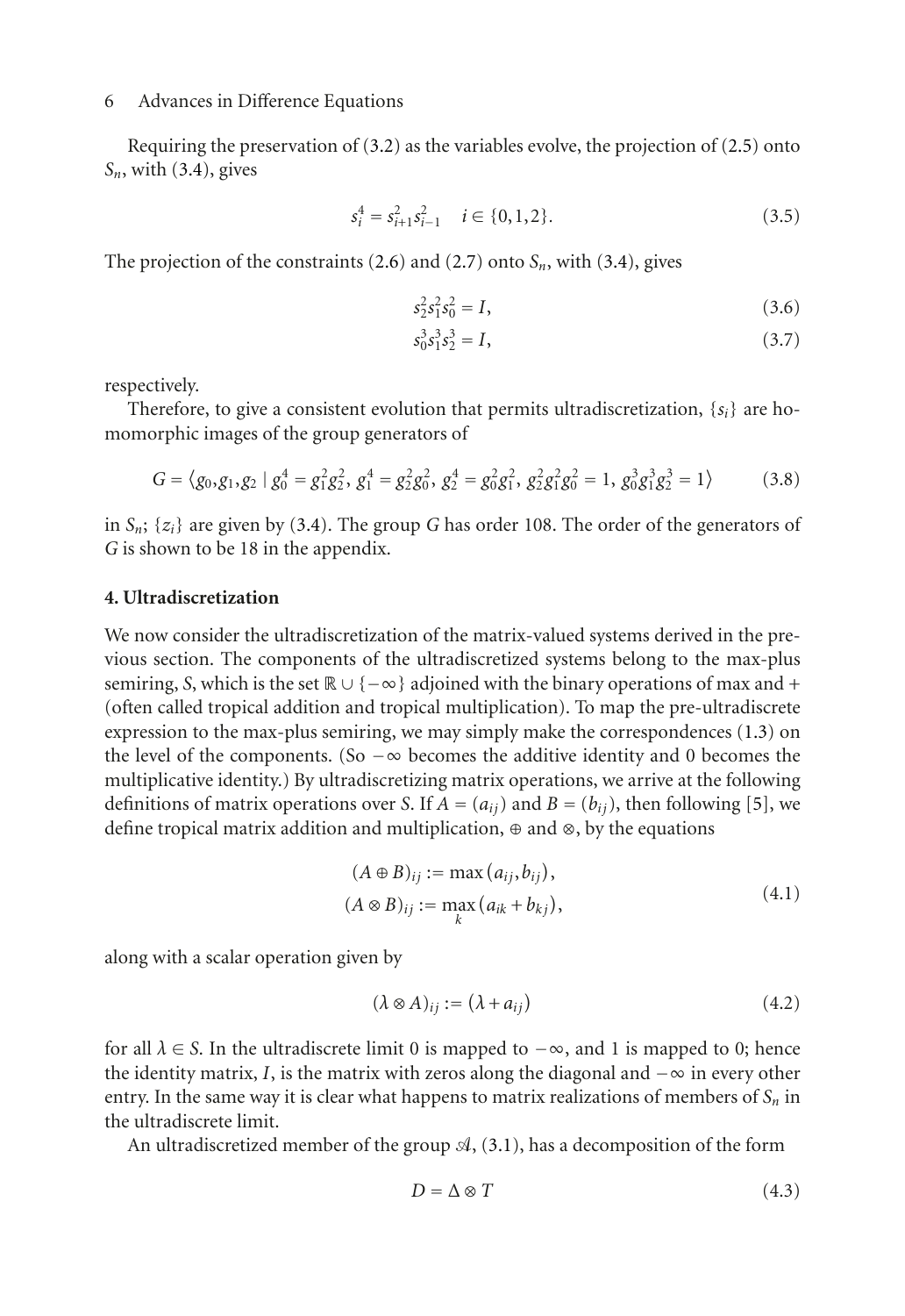Requiring the preservation of [\(3.2\)](#page-4-3) as the variables evolve, the projection of [\(2.5\)](#page-3-0) onto *Sn*, with [\(3.4\)](#page-4-2), gives

$$
s_i^4 = s_{i+1}^2 s_{i-1}^2 \quad i \in \{0, 1, 2\}.
$$
 (3.5)

The projection of the constraints  $(2.6)$  and  $(2.7)$  onto  $S_n$ , with  $(3.4)$ , gives

<span id="page-5-4"></span><span id="page-5-3"></span><span id="page-5-2"></span>
$$
s_2^2 s_1^2 s_0^2 = I,
$$
\n(3.6)

<span id="page-5-1"></span>
$$
s_0^3 s_1^3 s_2^3 = I,\tag{3.7}
$$

respectively.

Therefore, to give a consistent evolution that permits ultradiscretization, {*si*} are homomorphic images of the group generators of

$$
G = \langle g_0, g_1, g_2 \mid g_0^4 = g_1^2 g_2^2, g_1^4 = g_2^2 g_0^2, g_2^4 = g_0^2 g_1^2, g_2^2 g_1^2 g_0^2 = 1, g_0^3 g_1^3 g_2^3 = 1 \rangle \tag{3.8}
$$

in  $S_n$ ;  $\{z_i\}$  are given by [\(3.4\)](#page-4-2). The group *G* has order 108. The order of the generators of *G* is shown to be 18 in the appendix.

#### <span id="page-5-0"></span>**4. Ultradiscretization**

We now consider the ultradiscretization of the matrix-valued systems derived in the previous section. The components of the ultradiscretized systems belong to the max-plus semiring, *S*, which is the set  $\mathbb{R} \cup \{-\infty\}$  adjoined with the binary operations of max and + (often called tropical addition and tropical multiplication). To map the pre-ultradiscrete expression to the max-plus semiring, we may simply make the correspondences [\(1.3\)](#page-1-1) on the level of the components. (So  $-\infty$  becomes the additive identity and 0 becomes the multiplicative identity.) By ultradiscretizing matrix operations, we arrive at the following definitions of matrix operations over *S*. If  $A = (a_{ij})$  and  $B = (b_{ij})$ , then following [\[5](#page-12-5)], we define tropical matrix addition and multiplication, ⊕ and ⊗, by the equations

$$
(A \oplus B)_{ij} := \max (a_{ij}, b_{ij}),
$$
  
\n
$$
(A \otimes B)_{ij} := \max_k (a_{ik} + b_{kj}),
$$
\n
$$
(4.1)
$$

along with a scalar operation given by

$$
(\lambda \otimes A)_{ij} := (\lambda + a_{ij}) \tag{4.2}
$$

for all  $\lambda \in S$ . In the ultradiscrete limit 0 is mapped to  $-\infty$ , and 1 is mapped to 0; hence the identity matrix, *I*, is the matrix with zeros along the diagonal and  $-\infty$  in every other entry. In the same way it is clear what happens to matrix realizations of members of  $S_n$  in the ultradiscrete limit.

An ultradiscretized member of the group  $\mathcal{A}$ , [\(3.1\)](#page-4-1), has a decomposition of the form

$$
D = \Delta \otimes T \tag{4.3}
$$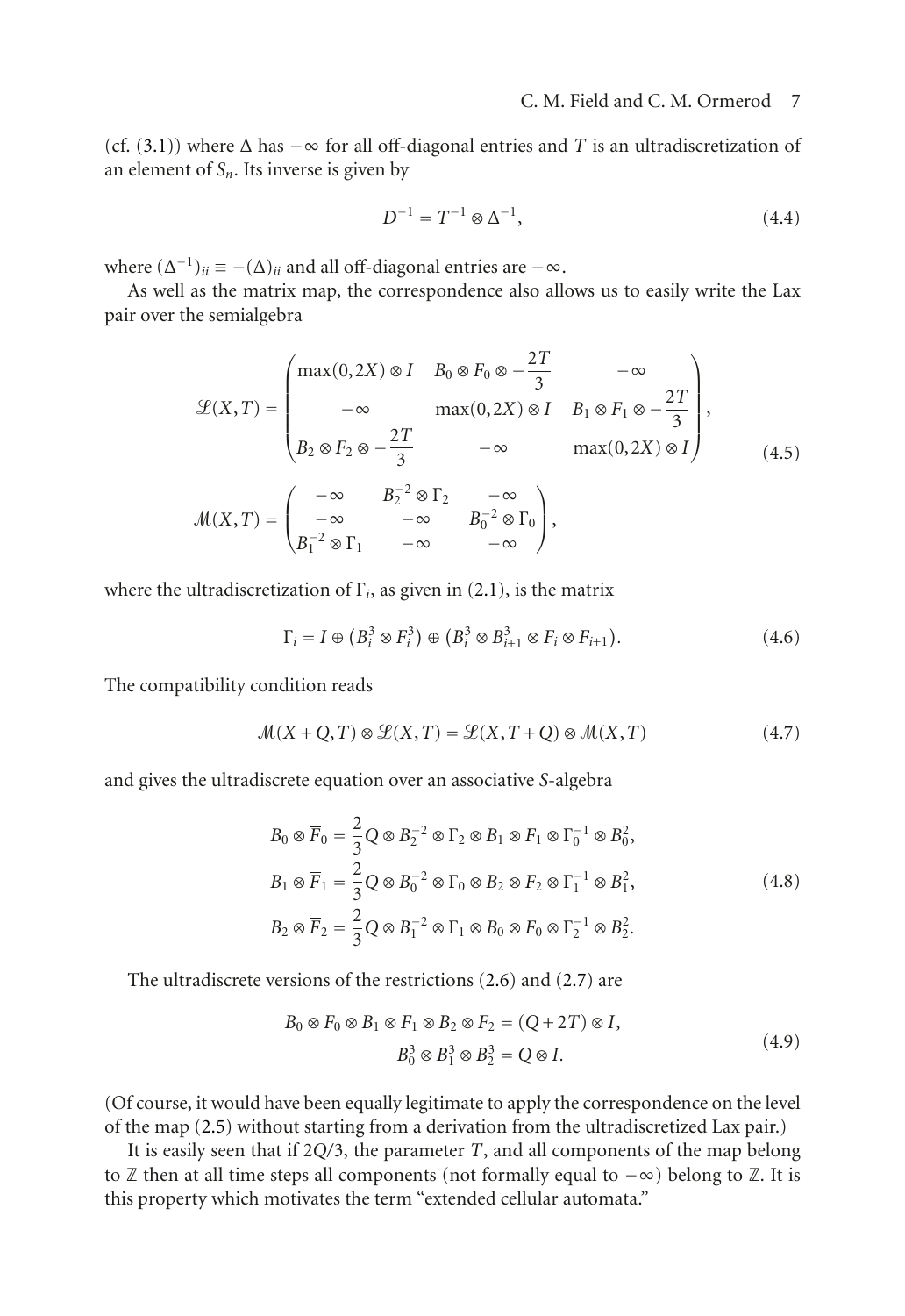(cf. [\(3.1\)](#page-4-1)) where  $\Delta$  has  $-\infty$  for all off-diagonal entries and *T* is an ultradiscretization of an element of  $S_n$ . Its inverse is given by

$$
D^{-1} = T^{-1} \otimes \Delta^{-1},\tag{4.4}
$$

where  $(\Delta^{-1})_{ii} \equiv -(\Delta)_{ii}$  and all off-diagonal entries are  $-\infty$ .

As well as the matrix map, the correspondence also allows us to easily write the Lax pair over the semialgebra

$$
\mathcal{L}(X,T) = \begin{pmatrix} \max(0,2X) \otimes I & B_0 \otimes F_0 \otimes -\frac{2T}{3} & -\infty \\ -\infty & \max(0,2X) \otimes I & B_1 \otimes F_1 \otimes -\frac{2T}{3} \\ B_2 \otimes F_2 \otimes -\frac{2T}{3} & -\infty & \max(0,2X) \otimes I \end{pmatrix},
$$
  

$$
\mathcal{M}(X,T) = \begin{pmatrix} -\infty & B_2^{-2} \otimes \Gamma_2 & -\infty \\ -\infty & -\infty & B_0^{-2} \otimes \Gamma_0 \\ B_1^{-2} \otimes \Gamma_1 & -\infty & -\infty \end{pmatrix},
$$
(4.5)

where the ultradiscretization of  $\Gamma_i$ , as given in [\(2.1\)](#page-2-1), is the matrix

<span id="page-6-0"></span>
$$
\Gamma_i = I \oplus (B_i^3 \otimes F_i^3) \oplus (B_i^3 \otimes B_{i+1}^3 \otimes F_i \otimes F_{i+1}).
$$
\n(4.6)

The compatibility condition reads

 $\mathcal{M}(X + O, T) \otimes \mathcal{L}(X, T) = \mathcal{L}(X, T + O) \otimes \mathcal{M}(X, T)$  (4.7)

and gives the ultradiscrete equation over an associative *S*-algebra

<span id="page-6-1"></span>
$$
B_0 \otimes \overline{F}_0 = \frac{2}{3} Q \otimes B_2^{-2} \otimes \Gamma_2 \otimes B_1 \otimes F_1 \otimes \Gamma_0^{-1} \otimes B_0^2,
$$
  
\n
$$
B_1 \otimes \overline{F}_1 = \frac{2}{3} Q \otimes B_0^{-2} \otimes \Gamma_0 \otimes B_2 \otimes F_2 \otimes \Gamma_1^{-1} \otimes B_1^2,
$$
  
\n
$$
B_2 \otimes \overline{F}_2 = \frac{2}{3} Q \otimes B_1^{-2} \otimes \Gamma_1 \otimes B_0 \otimes F_0 \otimes \Gamma_2^{-1} \otimes B_2^2.
$$
\n(4.8)

The ultradiscrete versions of the restrictions [\(2.6\)](#page-3-1) and [\(2.7\)](#page-3-2) are

$$
B_0 \otimes F_0 \otimes B_1 \otimes F_1 \otimes B_2 \otimes F_2 = (Q + 2T) \otimes I,
$$
  
\n
$$
B_0^3 \otimes B_1^3 \otimes B_2^3 = Q \otimes I.
$$
\n(4.9)

(Of course, it would have been equally legitimate to apply the correspondence on the level of the map [\(2.5\)](#page-3-0) without starting from a derivation from the ultradiscretized Lax pair.)

It is easily seen that if 2*Q/*3, the parameter *T*, and all components of the map belong to  $\mathbb Z$  then at all time steps all components (not formally equal to  $-\infty$ ) belong to  $\mathbb Z$ . It is this property which motivates the term "extended cellular automata."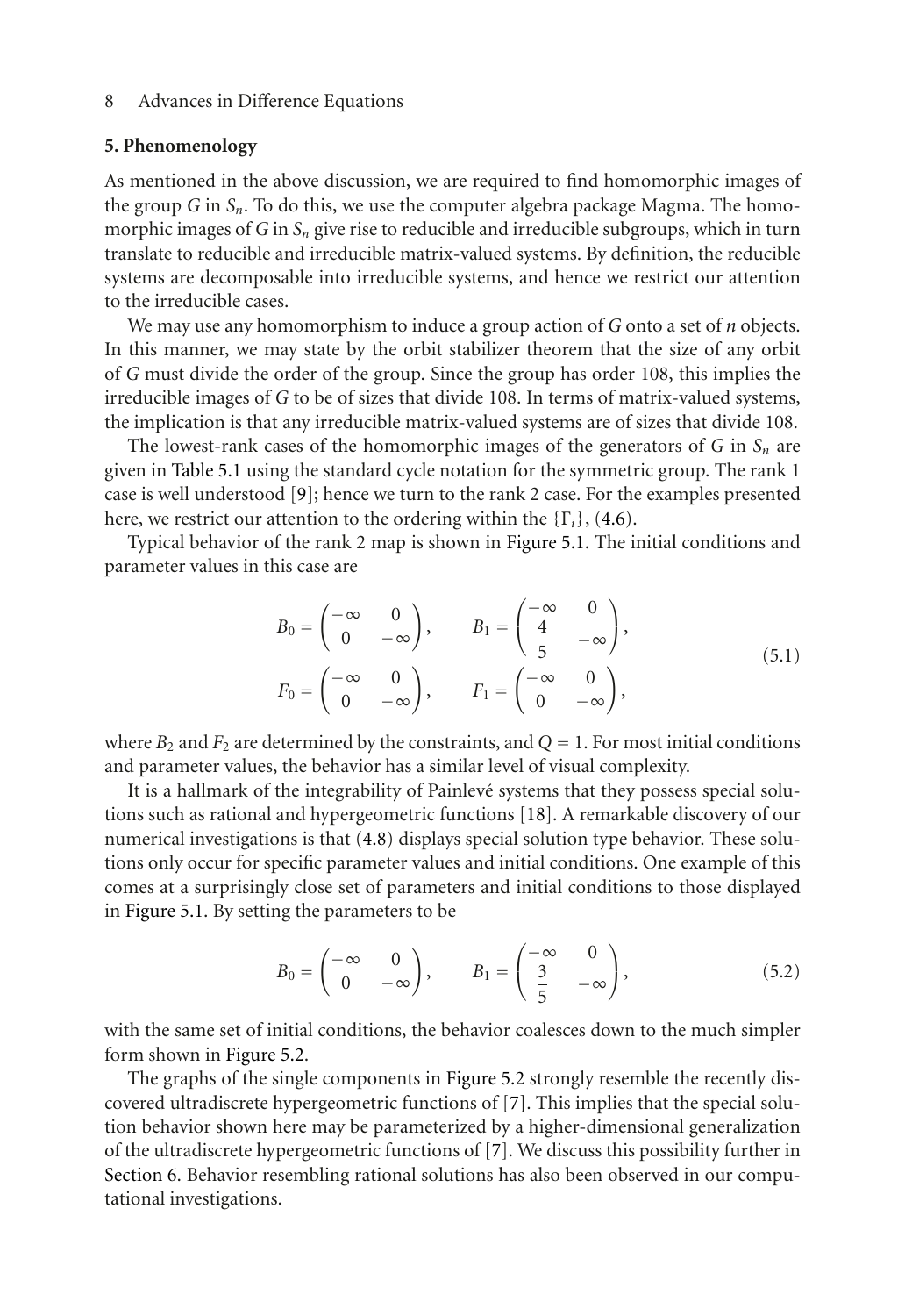#### <span id="page-7-0"></span>**5. Phenomenology**

As mentioned in the above discussion, we are required to find homomorphic images of the group *G* in *Sn*. To do this, we use the computer algebra package Magma. The homomorphic images of  $G$  in  $S_n$  give rise to reducible and irreducible subgroups, which in turn translate to reducible and irreducible matrix-valued systems. By definition, the reducible systems are decomposable into irreducible systems, and hence we restrict our attention to the irreducible cases.

We may use any homomorphism to induce a group action of *G* onto a set of *n* objects. In this manner, we may state by the orbit stabilizer theorem that the size of any orbit of *G* must divide the order of the group. Since the group has order 108, this implies the irreducible images of *G* to be of sizes that divide 108. In terms of matrix-valued systems, the implication is that any irreducible matrix-valued systems are of sizes that divide 108.

The lowest-rank cases of the homomorphic images of the generators of  $G$  in  $S_n$  are given in [Table 5.1](#page-8-0) using the standard cycle notation for the symmetric group. The rank 1 case is well understood [\[9\]](#page-12-9); hence we turn to the rank 2 case. For the examples presented here, we restrict our attention to the ordering within the {Γ*i*}, [\(4.6\)](#page-6-0).

Typical behavior of the rank 2 map is shown in [Figure 5.1.](#page-9-0) The initial conditions and parameter values in this case are

$$
B_0 = \begin{pmatrix} -\infty & 0 \\ 0 & -\infty \end{pmatrix}, \qquad B_1 = \begin{pmatrix} -\infty & 0 \\ \frac{4}{5} & -\infty \end{pmatrix},
$$
  
\n
$$
F_0 = \begin{pmatrix} -\infty & 0 \\ 0 & -\infty \end{pmatrix}, \qquad F_1 = \begin{pmatrix} -\infty & 0 \\ 0 & -\infty \end{pmatrix},
$$
 (5.1)

where  $B_2$  and  $F_2$  are determined by the constraints, and  $Q = 1$ . For most initial conditions and parameter values, the behavior has a similar level of visual complexity.

It is a hallmark of the integrability of Painlevé systems that they possess special solutions such as rational and hypergeometric functions [\[18](#page-13-7)]. A remarkable discovery of our numerical investigations is that [\(4.8\)](#page-6-1) displays special solution type behavior. These solutions only occur for specific parameter values and initial conditions. One example of this comes at a surprisingly close set of parameters and initial conditions to those displayed in [Figure 5.1.](#page-9-0) By setting the parameters to be

$$
B_0 = \begin{pmatrix} -\infty & 0 \\ 0 & -\infty \end{pmatrix}, \qquad B_1 = \begin{pmatrix} -\infty & 0 \\ \frac{3}{5} & -\infty \end{pmatrix}, \tag{5.2}
$$

with the same set of initial conditions, the behavior coalesces down to the much simpler form shown in [Figure 5.2.](#page-9-1)

The graphs of the single components in [Figure 5.2](#page-9-1) strongly resemble the recently discovered ultradiscrete hypergeometric functions of [\[7](#page-12-7)]. This implies that the special solution behavior shown here may be parameterized by a higher-dimensional generalization of the ultradiscrete hypergeometric functions of [\[7](#page-12-7)]. We discuss this possibility further in [Section 6.](#page-8-1) Behavior resembling rational solutions has also been observed in our computational investigations.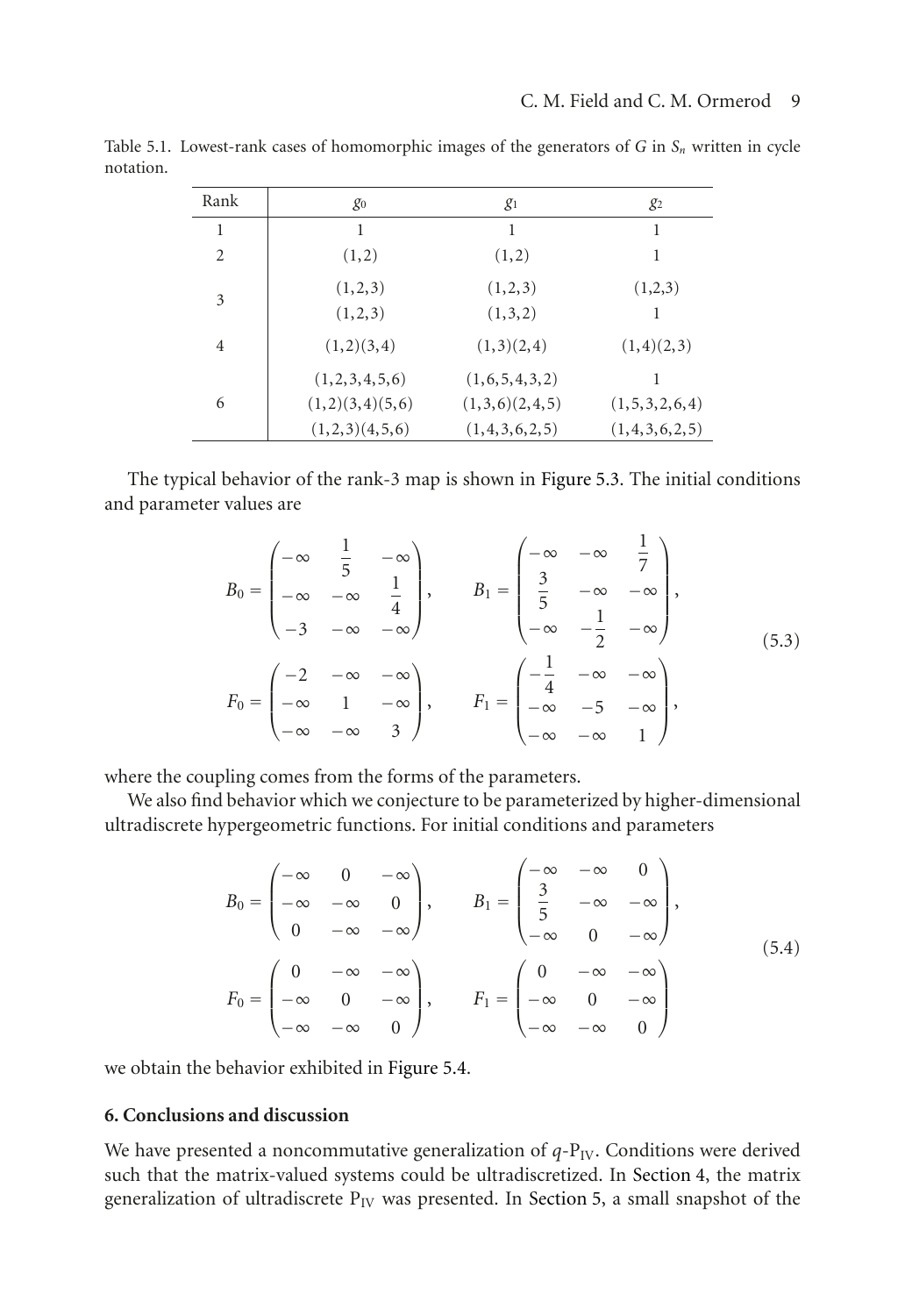| $g_0$                            | $g_1$                           | $g_2$                               |
|----------------------------------|---------------------------------|-------------------------------------|
| 1                                | 1                               |                                     |
| (1,2)                            | (1,2)                           |                                     |
| (1,2,3)<br>(1,2,3)               | (1,2,3)<br>(1,3,2)              | (1,2,3)<br>1                        |
| (1,2)(3,4)                       | (1,3)(2,4)                      | (1,4)(2,3)                          |
| (1,2,3,4,5,6)<br>(1,2)(3,4)(5,6) | (1,6,5,4,3,2)<br>(1,3,6)(2,4,5) | (1, 5, 3, 2, 6, 4)<br>(1,4,3,6,2,5) |
|                                  | (1,2,3)(4,5,6)                  | (1,4,3,6,2,5)                       |

<span id="page-8-0"></span>Table 5.1. Lowest-rank cases of homomorphic images of the generators of *<sup>G</sup>* in *Sn* written in cycle notation.

The typical behavior of the rank-3 map is shown in [Figure 5.3.](#page-10-0) The initial conditions and parameter values are

$$
B_0 = \begin{pmatrix} -\infty & \frac{1}{5} & -\infty \\ -\infty & -\infty & \frac{1}{4} \\ -3 & -\infty & -\infty \end{pmatrix}, \qquad B_1 = \begin{pmatrix} -\infty & -\infty & \frac{1}{7} \\ \frac{3}{5} & -\infty & -\infty \\ -\infty & -\frac{1}{2} & -\infty \end{pmatrix},
$$
  
\n
$$
F_0 = \begin{pmatrix} -2 & -\infty & -\infty \\ -\infty & 1 & -\infty \\ -\infty & -\infty & 3 \end{pmatrix}, \qquad F_1 = \begin{pmatrix} -\frac{1}{4} & -\infty & -\infty \\ -\infty & -5 & -\infty \\ -\infty & -\infty & 1 \end{pmatrix},
$$
  
\n(5.3)

where the coupling comes from the forms of the parameters.

We also find behavior which we conjecture to be parameterized by higher-dimensional ultradiscrete hypergeometric functions. For initial conditions and parameters

$$
B_0 = \begin{pmatrix} -\infty & 0 & -\infty \\ -\infty & -\infty & 0 \\ 0 & -\infty & -\infty \end{pmatrix}, \qquad B_1 = \begin{pmatrix} -\infty & -\infty & 0 \\ \frac{3}{5} & -\infty & -\infty \\ -\infty & 0 & -\infty \end{pmatrix},
$$
  
\n
$$
F_0 = \begin{pmatrix} 0 & -\infty & -\infty \\ -\infty & 0 & -\infty \\ -\infty & -\infty & 0 \end{pmatrix}, \qquad F_1 = \begin{pmatrix} 0 & -\infty & -\infty \\ -\infty & 0 & -\infty \\ -\infty & -\infty & 0 \end{pmatrix}
$$
  
\n(5.4)

we obtain the behavior exhibited in [Figure 5.4.](#page-10-1)

## <span id="page-8-1"></span>**6. Conclusions and discussion**

We have presented a noncommutative generalization of  $q$ - $P_{IV}$ . Conditions were derived such that the matrix-valued systems could be ultradiscretized. In [Section 4,](#page-5-0) the matrix generalization of ultradiscrete  $P_{IV}$  was presented. In [Section 5,](#page-7-0) a small snapshot of the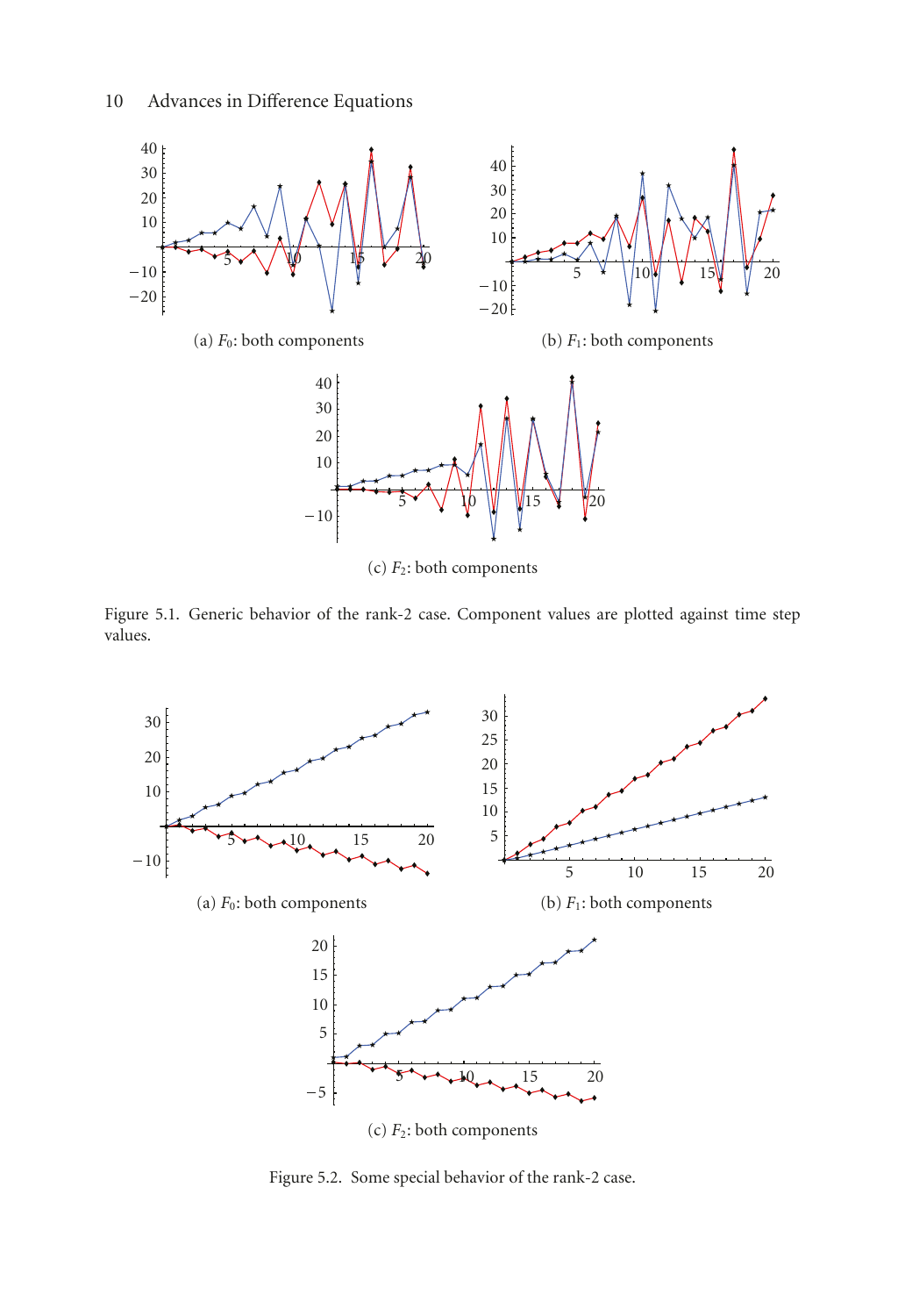

(c) *F*2: both components

<span id="page-9-0"></span>Figure 5.1. Generic behavior of the rank-2 case. Component values are plotted against time step values.



<span id="page-9-1"></span>Figure 5.2. Some special behavior of the rank-2 case.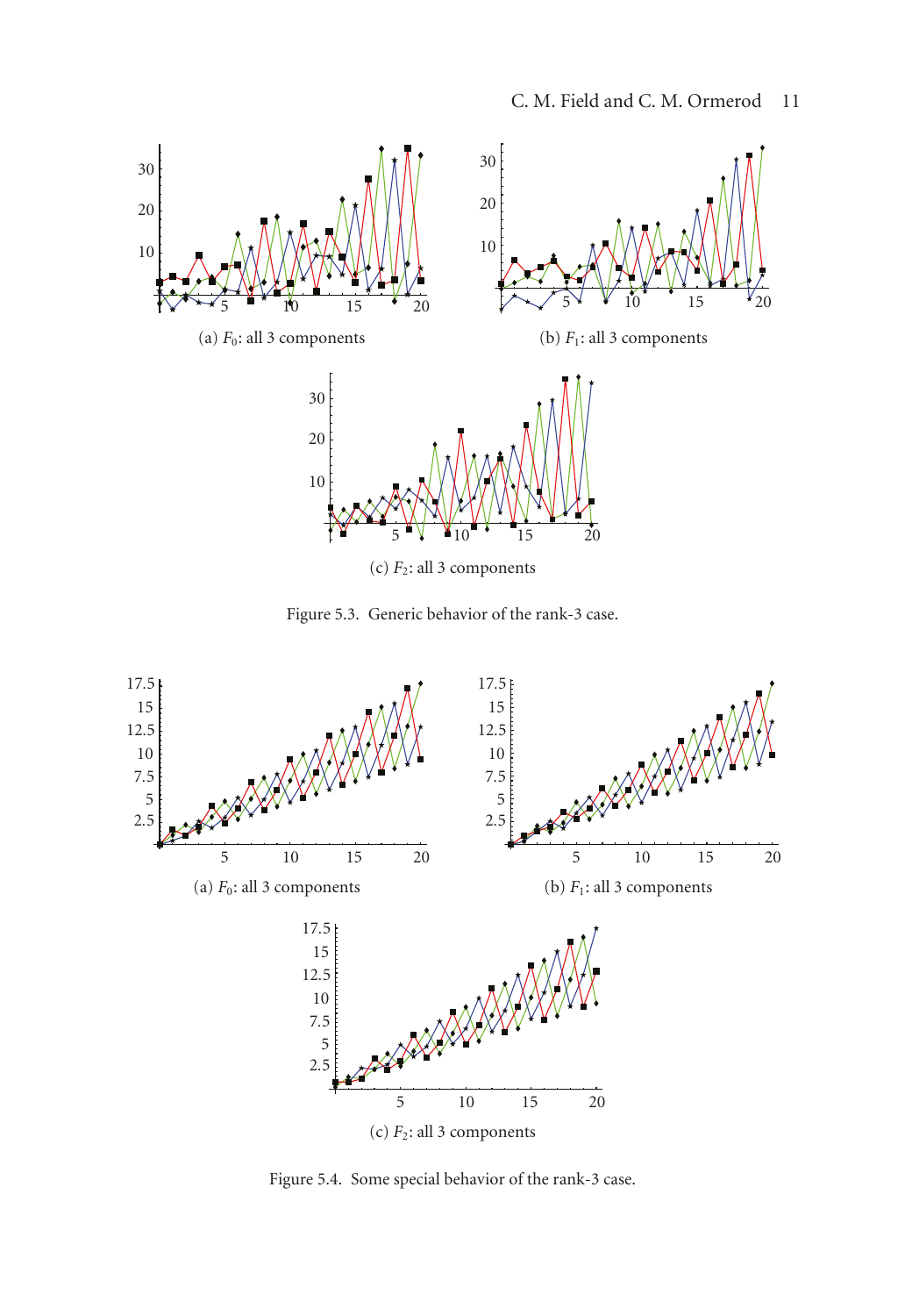

<span id="page-10-0"></span>Figure 5.3. Generic behavior of the rank-3 case.



<span id="page-10-1"></span>Figure 5.4. Some special behavior of the rank-3 case.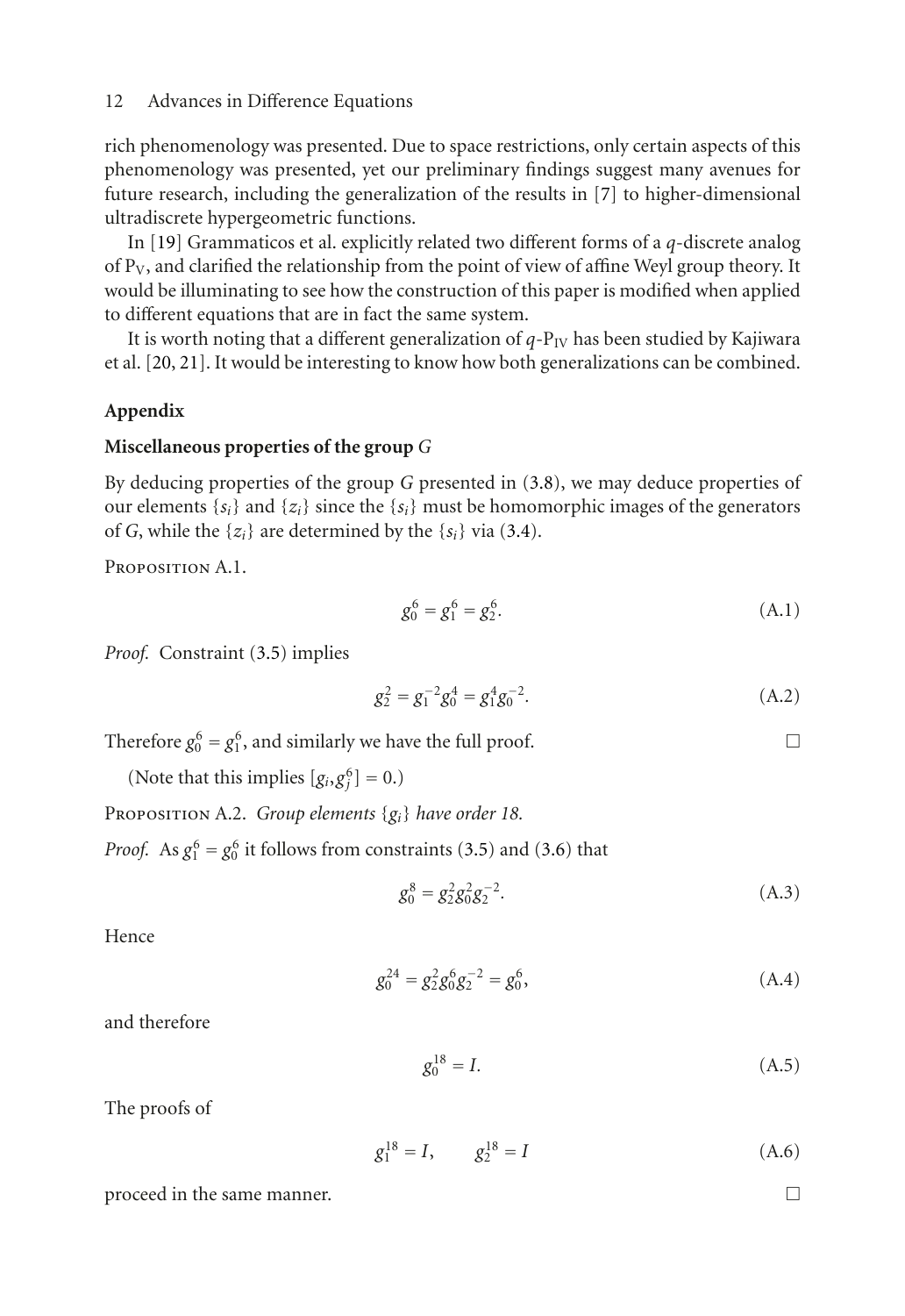rich phenomenology was presented. Due to space restrictions, only certain aspects of this phenomenology was presented, yet our preliminary findings suggest many avenues for future research, including the generalization of the results in [\[7\]](#page-12-7) to higher-dimensional ultradiscrete hypergeometric functions.

In [\[19\]](#page-13-8) Grammaticos et al. explicitly related two different forms of a *q*-discrete analog of  $P_V$ , and clarified the relationship from the point of view of affine Weyl group theory. It would be illuminating to see how the construction of this paper is modified when applied to different equations that are in fact the same system.

It is worth noting that a different generalization of  $q-P_{IV}$  has been studied by Kajiwara et al. [\[20,](#page-13-9) [21\]](#page-13-10). It would be interesting to know how both generalizations can be combined.

## **Appendix**

## **Miscellaneous properties of the group** *G*

By deducing properties of the group *G* presented in [\(3.8\)](#page-5-1), we may deduce properties of our elements  $\{s_i\}$  and  $\{z_i\}$  since the  $\{s_i\}$  must be homomorphic images of the generators of *G*, while the  $\{z_i\}$  are determined by the  $\{s_i\}$  via [\(3.4\)](#page-4-2).

Proposition A.1.

<span id="page-11-0"></span>
$$
g_0^6 = g_1^6 = g_2^6. \tag{A.1}
$$

*Proof.* Constraint [\(3.5\)](#page-5-2) implies

$$
g_2^2 = g_1^{-2} g_0^4 = g_1^4 g_0^{-2}.
$$
 (A.2)

Therefore  $g_0^6 = g_1^6$ , and similarly we have the full proof.  $\Box$ 

(Note that this implies  $[g_i, g_j^6] = 0$ .)

Proposition A.2. *Group elements* {*gi*} *have order 18.*

*Proof.* As  $g_1^6 = g_0^6$  it follows from constraints [\(3.5\)](#page-5-2) and [\(3.6\)](#page-5-3) that

$$
g_0^8 = g_2^2 g_0^2 g_2^{-2}.
$$
 (A.3)

Hence

$$
g_0^{24} = g_2^2 g_0^6 g_2^{-2} = g_0^6,
$$
 (A.4)

and therefore

<span id="page-11-1"></span>
$$
g_0^{18} = I.
$$
 (A.5)

The proofs of

$$
g_1^{18} = I, \qquad g_2^{18} = I \tag{A.6}
$$

proceed in the same manner.  $\Box$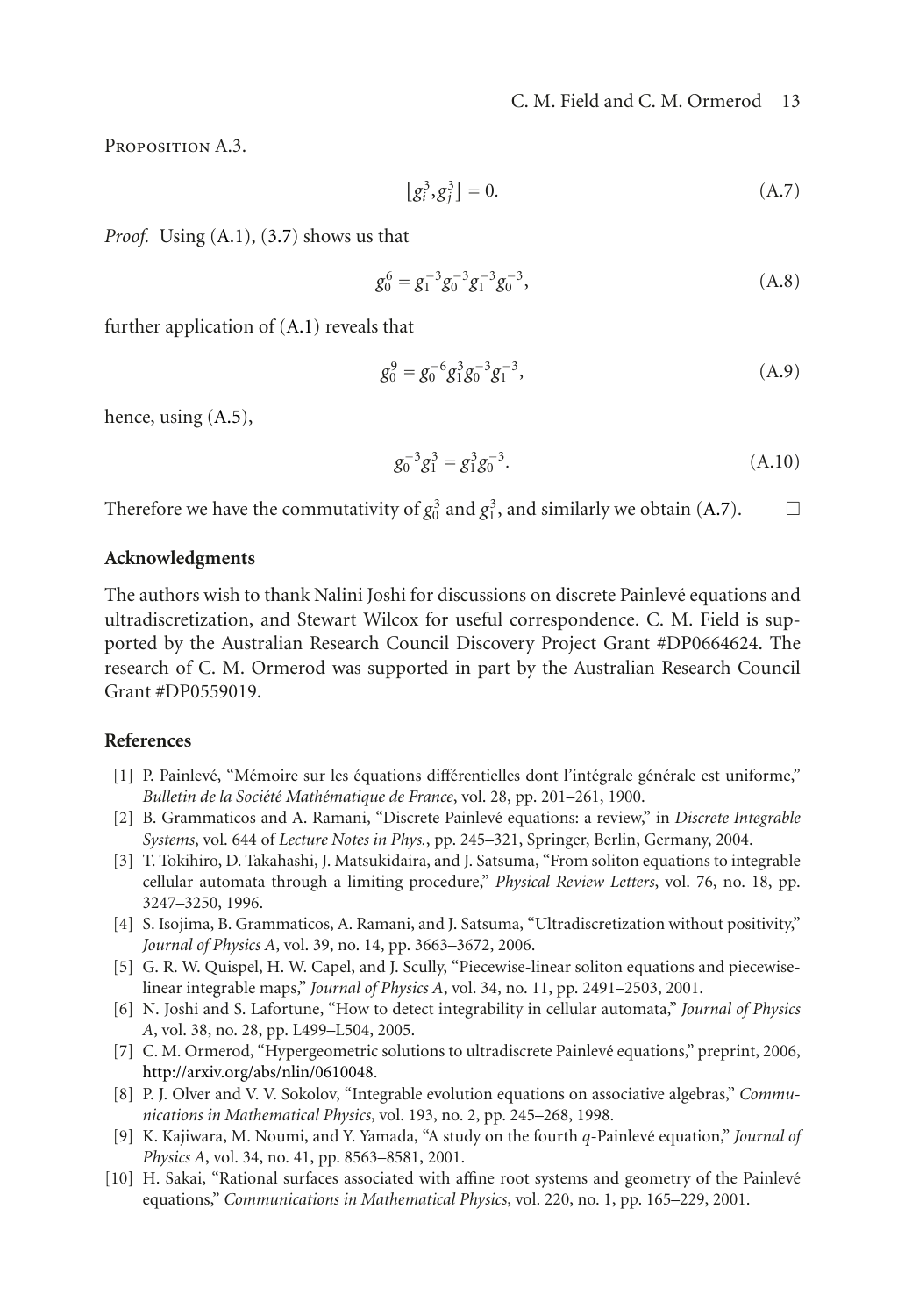Proposition A.3.

<span id="page-12-11"></span>
$$
[g_i^3, g_j^3] = 0.
$$
 (A.7)

*Proof.* Using [\(A.1\)](#page-11-0), [\(3.7\)](#page-5-4) shows us that

$$
g_0^6 = g_1^{-3} g_0^{-3} g_1^{-3} g_0^{-3}, \tag{A.8}
$$

further application of [\(A.1\)](#page-11-0) reveals that

$$
g_0^9 = g_0^{-6} g_1^3 g_0^{-3} g_1^{-3}, \tag{A.9}
$$

hence, using [\(A.5\)](#page-11-1),

$$
g_0^{-3}g_1^3 = g_1^3g_0^{-3}.
$$
 (A.10)

Therefore we have the commutativity of  $g_0^3$  and  $g_1^3$ , and similarly we obtain [\(A.7\)](#page-12-11).  $\Box$ 

## **Acknowledgments**

The authors wish to thank Nalini Joshi for discussions on discrete Painleve equations and ´ ultradiscretization, and Stewart Wilcox for useful correspondence. C. M. Field is supported by the Australian Research Council Discovery Project Grant #DP0664624. The research of C. M. Ormerod was supported in part by the Australian Research Council Grant #DP0559019.

## <span id="page-12-1"></span><span id="page-12-0"></span>**References**

- [1] P. Painlevé, "Mémoire sur les équations différentielles dont l'intégrale générale est uniforme," Bulletin de la Société Mathématique de France, vol. 28, pp. 201–261, 1900.
- <span id="page-12-2"></span>[2] B. Grammaticos and A. Ramani, "Discrete Painlevé equations: a review," in *Discrete Integrable Systems*, vol. 644 of *Lecture Notes in Phys.*, pp. 245–321, Springer, Berlin, Germany, 2004.
- <span id="page-12-3"></span>[3] T. Tokihiro, D. Takahashi, J. Matsukidaira, and J. Satsuma, "From soliton equations to integrable cellular automata through a limiting procedure," *Physical Review Letters*, vol. 76, no. 18, pp. 3247–3250, 1996.
- <span id="page-12-4"></span>[4] S. Isojima, B. Grammaticos, A. Ramani, and J. Satsuma, "Ultradiscretization without positivity," *Journal of Physics A*, vol. 39, no. 14, pp. 3663–3672, 2006.
- <span id="page-12-5"></span>[5] G. R. W. Quispel, H. W. Capel, and J. Scully, "Piecewise-linear soliton equations and piecewiselinear integrable maps," *Journal of Physics A*, vol. 34, no. 11, pp. 2491–2503, 2001.
- <span id="page-12-6"></span>[6] N. Joshi and S. Lafortune, "How to detect integrability in cellular automata," *Journal of Physics A*, vol. 38, no. 28, pp. L499–L504, 2005.
- <span id="page-12-7"></span>[7] C. M. Ormerod, "Hypergeometric solutions to ultradiscrete Painleve equations," preprint, 2006, ´ [http://arxiv.org/abs/nlin/0610048.](http://arxiv.org/abs/nlin/0610048)
- <span id="page-12-8"></span>[8] P. J. Olver and V. V. Sokolov, "Integrable evolution equations on associative algebras," *Communications in Mathematical Physics*, vol. 193, no. 2, pp. 245–268, 1998.
- <span id="page-12-9"></span>[9] K. Kajiwara, M. Noumi, and Y. Yamada, "A study on the fourth *q*-Painleve equation," ´ *Journal of Physics A*, vol. 34, no. 41, pp. 8563–8581, 2001.
- <span id="page-12-10"></span>[10] H. Sakai, "Rational surfaces associated with affine root systems and geometry of the Painlevé equations," *Communications in Mathematical Physics*, vol. 220, no. 1, pp. 165–229, 2001.